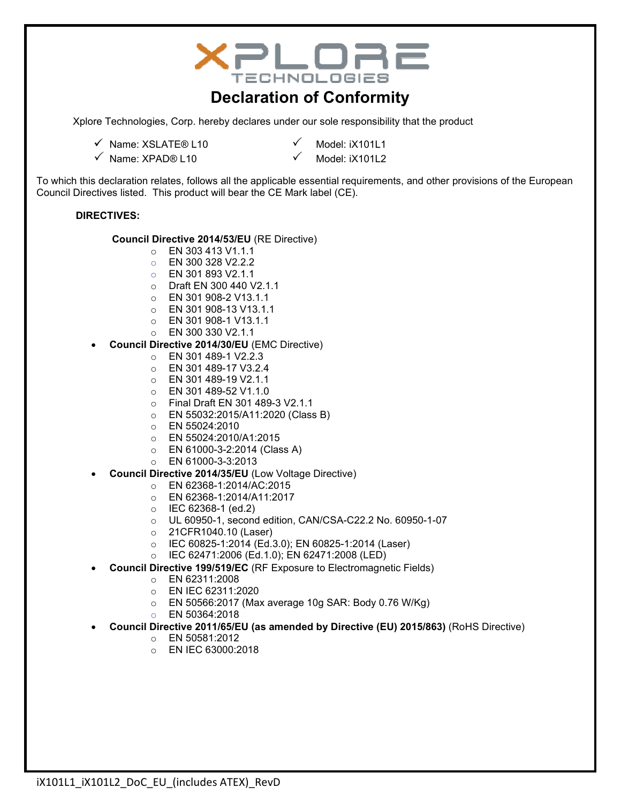| TECHNOLOGIES<br><b>Declaration of Conformity</b>                                                                                                                                                                                                                                                                                                                                                                                                                                                                                                                                                                                                                                                                                                                                                                                                                                                                                                                                                                                                                                                                                                                                                                                                                                                                                                     |                                                                                                                                                                                                          |  |  |
|------------------------------------------------------------------------------------------------------------------------------------------------------------------------------------------------------------------------------------------------------------------------------------------------------------------------------------------------------------------------------------------------------------------------------------------------------------------------------------------------------------------------------------------------------------------------------------------------------------------------------------------------------------------------------------------------------------------------------------------------------------------------------------------------------------------------------------------------------------------------------------------------------------------------------------------------------------------------------------------------------------------------------------------------------------------------------------------------------------------------------------------------------------------------------------------------------------------------------------------------------------------------------------------------------------------------------------------------------|----------------------------------------------------------------------------------------------------------------------------------------------------------------------------------------------------------|--|--|
| Xplore Technologies, Corp. hereby declares under our sole responsibility that the product                                                                                                                                                                                                                                                                                                                                                                                                                                                                                                                                                                                                                                                                                                                                                                                                                                                                                                                                                                                                                                                                                                                                                                                                                                                            |                                                                                                                                                                                                          |  |  |
| √ Name: XSLATE® L10<br>$\checkmark$ Name: XPAD® L10                                                                                                                                                                                                                                                                                                                                                                                                                                                                                                                                                                                                                                                                                                                                                                                                                                                                                                                                                                                                                                                                                                                                                                                                                                                                                                  | Model: iX101L1<br>Model: iX101L2                                                                                                                                                                         |  |  |
| To which this declaration relates, follows all the applicable essential requirements, and other provisions of the European<br>Council Directives listed. This product will bear the CE Mark label (CE).                                                                                                                                                                                                                                                                                                                                                                                                                                                                                                                                                                                                                                                                                                                                                                                                                                                                                                                                                                                                                                                                                                                                              |                                                                                                                                                                                                          |  |  |
| <b>DIRECTIVES:</b>                                                                                                                                                                                                                                                                                                                                                                                                                                                                                                                                                                                                                                                                                                                                                                                                                                                                                                                                                                                                                                                                                                                                                                                                                                                                                                                                   |                                                                                                                                                                                                          |  |  |
| Council Directive 2014/53/EU (RE Directive)<br>EN 303 413 V1.1.1<br>$\circ$<br>EN 300 328 V2.2.2<br>$\circ$<br>EN 301 893 V2.1.1<br>$\circ$<br>Draft EN 300 440 V2.1.1<br>$\circ$<br>EN 301 908-2 V13.1.1<br>$\circ$<br>EN 301 908-13 V13.1.1<br>$\circ$<br>EN 301 908-1 V13.1.1<br>$\circ$<br>EN 300 330 V2.1.1<br>$\circ$<br>Council Directive 2014/30/EU (EMC Directive)<br>EN 301 489-1 V2.2.3<br>$\circ$<br>EN 301 489-17 V3.2.4<br>$\circ$<br>EN 301 489-19 V2.1.1<br>$\circ$<br>EN 301 489-52 V1.1.0<br>$\circ$<br>Final Draft EN 301 489-3 V2.1.1<br>$\circ$<br>EN 55032:2015/A11:2020 (Class B)<br>$\circ$<br>EN 55024:2010<br>$\circ$<br>EN 55024:2010/A1:2015<br>$\circ$<br>EN 61000-3-2:2014 (Class A)<br>$\circ$<br>EN 61000-3-3:2013<br>$\circ$<br>Council Directive 2014/35/EU (Low Voltage Directive)<br>EN 62368-1:2014/AC:2015<br>$\circ$<br>EN 62368-1:2014/A11:2017<br>$\circ$<br>IEC 62368-1 (ed.2)<br>$\circ$<br>$\circ$<br>21CFR1040.10 (Laser)<br>$\circ$<br>IEC 60825-1:2014 (Ed.3.0); EN 60825-1:2014 (Laser)<br>$\circ$<br>IEC 62471:2006 (Ed.1.0); EN 62471:2008 (LED)<br>$\circ$<br>Council Directive 199/519/EC (RF Exposure to Electromagnetic Fields)<br>EN 62311:2008<br>$\circ$<br>EN IEC 62311:2020<br>$\circ$<br>$\circ$<br>EN 50364:2018<br>$\circ$<br>EN 50581:2012<br>$\circ$<br>EN IEC 63000:2018<br>$\circ$ | UL 60950-1, second edition, CAN/CSA-C22.2 No. 60950-1-07<br>EN 50566:2017 (Max average 10g SAR: Body 0.76 W/Kg)<br>Council Directive 2011/65/EU (as amended by Directive (EU) 2015/863) (RoHS Directive) |  |  |